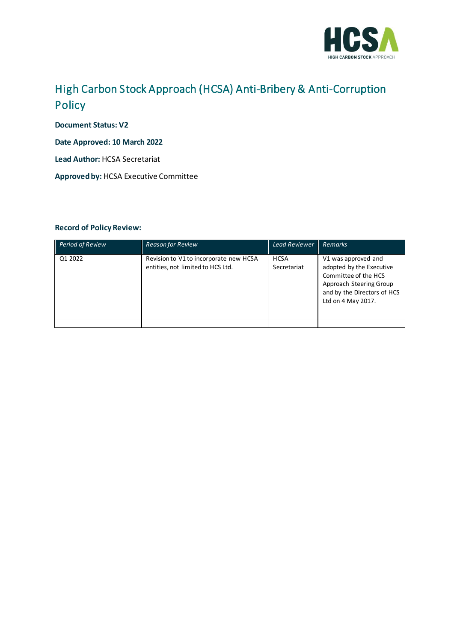

## High Carbon Stock Approach (HCSA) Anti-Bribery & Anti-Corruption Policy

**Document Status: V2** 

**Date Approved: 10 March 2022**

**Lead Author:** HCSA Secretariat

**Approved by:** HCSA Executive Committee

#### **Record of Policy Review:**

| <b>Period of Review</b> | <b>Reason for Review</b>                                                    | <b>Lead Reviewer</b>       | <b>Remarks</b>                                                                                                                                          |
|-------------------------|-----------------------------------------------------------------------------|----------------------------|---------------------------------------------------------------------------------------------------------------------------------------------------------|
| Q1 2022                 | Revision to V1 to incorporate new HCSA<br>entities, not limited to HCS Ltd. | <b>HCSA</b><br>Secretariat | V1 was approved and<br>adopted by the Executive<br>Committee of the HCS<br>Approach Steering Group<br>and by the Directors of HCS<br>Ltd on 4 May 2017. |
|                         |                                                                             |                            |                                                                                                                                                         |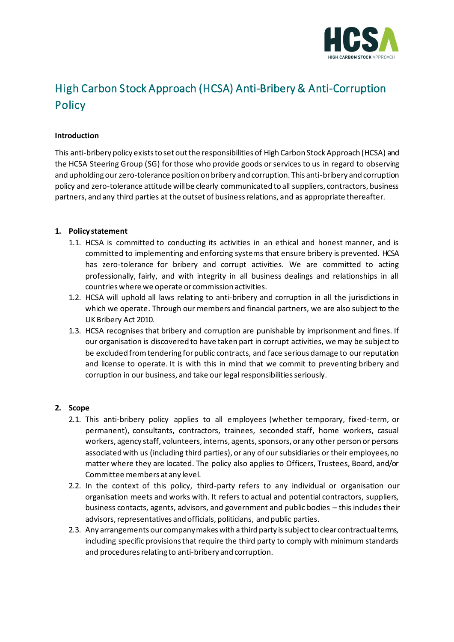

# High Carbon Stock Approach (HCSA) Anti-Bribery & Anti-Corruption **Policy**

#### **Introduction**

This anti-bribery policy exists to set out the responsibilities of High Carbon Stock Approach (HCSA) and the HCSA Steering Group (SG) for those who provide goods or services to us in regard to observing and upholding our zero-tolerance position on bribery and corruption. This anti-bribery and corruption policy and zero-tolerance attitude will be clearly communicated to all suppliers, contractors, business partners, and any third parties at the outset of business relations, and as appropriate thereafter.

#### **1. Policy statement**

- 1.1. HCSA is committed to conducting its activities in an ethical and honest manner, and is committed to implementing and enforcing systems that ensure bribery is prevented. HCSA has zero-tolerance for bribery and corrupt activities. We are committed to acting professionally, fairly, and with integrity in all business dealings and relationships in all countries where we operate or commission activities.
- 1.2. HCSA will uphold all laws relating to anti-bribery and corruption in all the jurisdictions in which we operate. Through our members and financial partners, we are also subject to the UK Bribery Act 2010.
- 1.3. HCSA recognises that bribery and corruption are punishable by imprisonment and fines. If our organisation is discovered to have taken part in corrupt activities, we may be subject to be excluded from tendering for public contracts, and face serious damage to our reputation and license to operate. It is with this in mind that we commit to preventing bribery and corruption in our business, and take our legal responsibilities seriously.

#### **2. Scope**

- 2.1. This anti-bribery policy applies to all employees (whether temporary, fixed-term, or permanent), consultants, contractors, trainees, seconded staff, home workers, casual workers, agency staff, volunteers, interns, agents, sponsors, or any other person or persons associated with us (including third parties), or any of our subsidiaries or their employees, no matter where they are located. The policy also applies to Officers, Trustees, Board, and/or Committee members at any level.
- 2.2. In the context of this policy, third-party refers to any individual or organisation our organisation meets and works with. It refers to actual and potential contractors, suppliers, business contacts, agents, advisors, and government and public bodies – this includes their advisors, representatives and officials, politicians, and public parties.
- 2.3. Any arrangements our company makes with a third party is subject to clear contractual terms, including specific provisions that require the third party to comply with minimum standards and procedures relating to anti-bribery and corruption.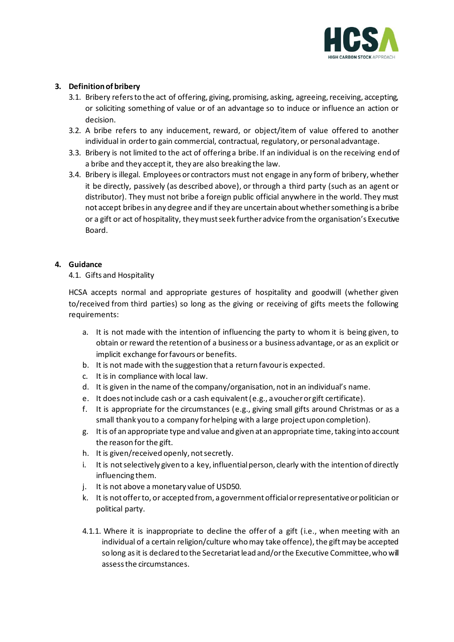

#### **3. Definition of bribery**

- 3.1. Bribery refers to the act of offering, giving, promising, asking, agreeing, receiving, accepting, or soliciting something of value or of an advantage so to induce or influence an action or decision.
- 3.2. A bribe refers to any inducement, reward, or object/item of value offered to another individual in order to gain commercial, contractual, regulatory, or personal advantage.
- 3.3. Bribery is not limited to the act of offering a bribe. If an individual is on the receiving end of a bribe and they accept it, they are also breaking the law.
- 3.4. Bribery is illegal. Employees or contractors must not engage in any form of bribery, whether it be directly, passively (as described above), or through a third party (such as an agent or distributor). They must not bribe a foreign public official anywhere in the world. They must not accept bribes in any degree and if they are uncertain about whether something is a bribe or a gift or act of hospitality, they must seek further advice from the organisation's Executive Board.

#### **4. Guidance**

### 4.1. Gifts and Hospitality

HCSA accepts normal and appropriate gestures of hospitality and goodwill (whether given to/received from third parties) so long as the giving or receiving of gifts meets the following requirements:

- a. It is not made with the intention of influencing the party to whom it is being given, to obtain or reward the retention of a business or a business advantage, or as an explicit or implicit exchange for favours or benefits.
- b. It is not made with the suggestion that a return favour is expected.
- c. It is in compliance with local law.
- d. It is given in the name of the company/organisation, not in an individual's name.
- e. It does not include cash or a cash equivalent (e.g., a voucher or gift certificate).
- f. It is appropriate for the circumstances (e.g., giving small gifts around Christmas or as a small thank you to a company for helping with a large project upon completion).
- g. It is of an appropriate type and value and given at an appropriate time, taking into account the reason for the gift.
- h. It is given/received openly, not secretly.
- i. It is not selectively given to a key, influential person, clearly with the intention of directly influencing them.
- j. It is not above a monetary value of USD50.
- k. It is not offer to, or accepted from, a government official or representative or politician or political party.
- 4.1.1. Where it is inappropriate to decline the offer of a gift (i.e., when meeting with an individual of a certain religion/culture who may take offence), the gift may be accepted so long as it is declared to the Secretariat lead and/or the Executive Committee, who will assess the circumstances.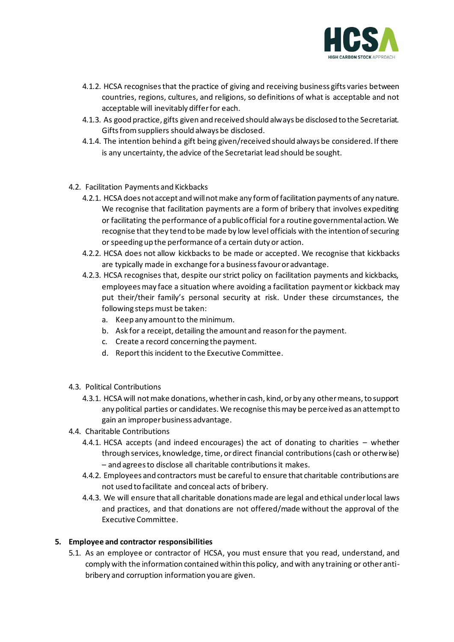

- 4.1.2. HCSA recognises that the practice of giving and receiving business gifts varies between countries, regions, cultures, and religions, so definitions of what is acceptable and not acceptable will inevitably differ for each.
- 4.1.3. As good practice, gifts given and received should always be disclosed to the Secretariat. Gifts from suppliers should always be disclosed.
- 4.1.4. The intention behind a gift being given/received should always be considered. If there is any uncertainty, the advice of the Secretariat lead should be sought.
- 4.2. Facilitation Payments and Kickbacks
	- 4.2.1. HCSA does not accept and will not make any form of facilitation payments of any nature. We recognise that facilitation payments are a form of bribery that involves expediting or facilitating the performance of a public official for a routine governmental action. We recognise that they tend to be made by low level officials with the intention of securing or speeding up the performance of a certain duty or action.
	- 4.2.2. HCSA does not allow kickbacks to be made or accepted. We recognise that kickbacks are typically made in exchange for a business favour or advantage.
	- 4.2.3. HCSA recognises that, despite our strict policy on facilitation payments and kickbacks, employees may face a situation where avoiding a facilitation payment or kickback may put their/their family's personal security at risk. Under these circumstances, the following steps must be taken:
		- a. Keep any amount to the minimum.
		- b. Ask for a receipt, detailing the amount and reason for the payment.
		- c. Create a record concerning the payment.
		- d. Report this incident to the Executive Committee.
- 4.3. Political Contributions
	- 4.3.1. HCSA will not make donations, whether in cash, kind, or by any other means, to support any political parties or candidates. We recognise this may be perceived as an attempt to gain an improper business advantage.
- 4.4. Charitable Contributions
	- 4.4.1. HCSA accepts (and indeed encourages) the act of donating to charities whether through services, knowledge, time, or direct financial contributions (cash or otherwise) – and agrees to disclose all charitable contributions it makes.
	- 4.4.2. Employees and contractors must be careful to ensure that charitable contributions are not used to facilitate and conceal acts of bribery.
	- 4.4.3. We will ensure that all charitable donations made are legal and ethical under local laws and practices, and that donations are not offered/made without the approval of the Executive Committee.

#### **5. Employee and contractor responsibilities**

5.1. As an employee or contractor of HCSA, you must ensure that you read, understand, and comply with the information contained within this policy, and with any training or other antibribery and corruption information you are given.